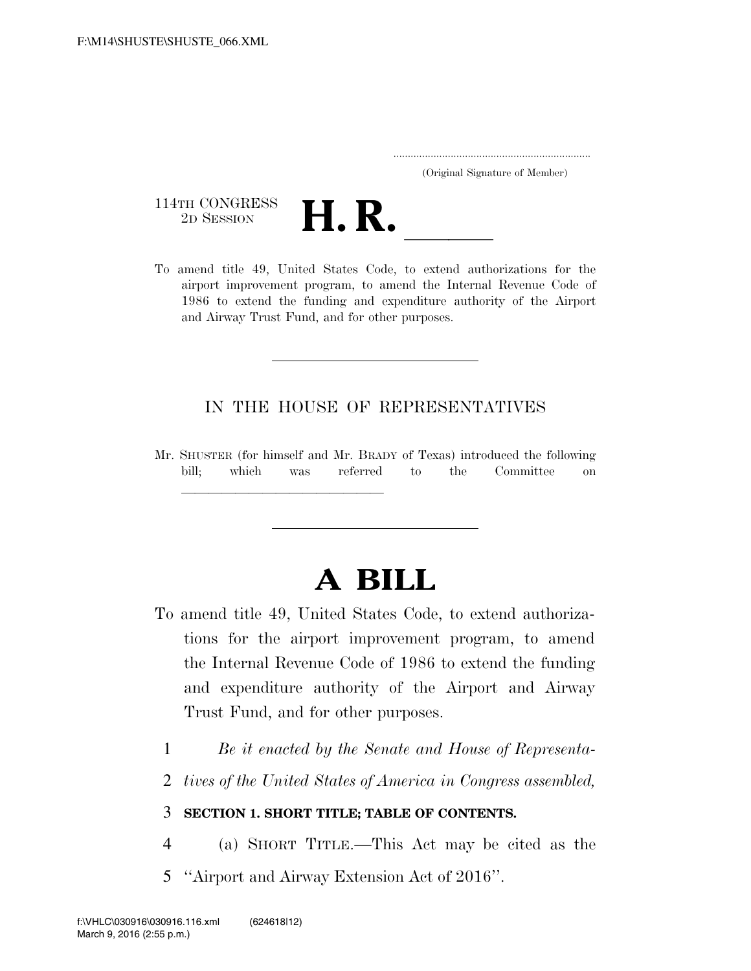..................................................................... (Original Signature of Member)

114TH CONGRESS<br>2D SESSION



114TH CONGRESS<br>
2D SESSION<br>
To amend title 49, United States Code, to extend authorizations for the airport improvement program, to amend the Internal Revenue Code of 1986 to extend the funding and expenditure authority of the Airport and Airway Trust Fund, and for other purposes.

# IN THE HOUSE OF REPRESENTATIVES

Mr. SHUSTER (for himself and Mr. BRADY of Texas) introduced the following bill; which was referred to the Committee on

llland and a state of the state of the state of the state of the state of the state of the state of the state o

# **A BILL**

- To amend title 49, United States Code, to extend authorizations for the airport improvement program, to amend the Internal Revenue Code of 1986 to extend the funding and expenditure authority of the Airport and Airway Trust Fund, and for other purposes.
	- 1 *Be it enacted by the Senate and House of Representa-*
	- 2 *tives of the United States of America in Congress assembled,*

# 3 **SECTION 1. SHORT TITLE; TABLE OF CONTENTS.**

- 4 (a) SHORT TITLE.—This Act may be cited as the
- 5 ''Airport and Airway Extension Act of 2016''.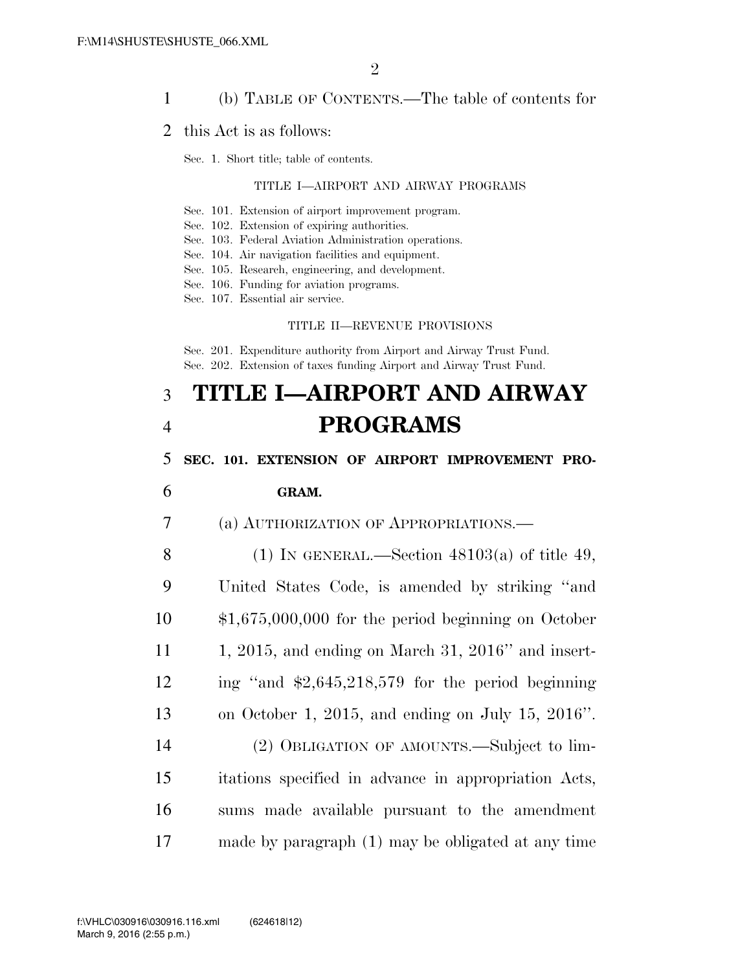# 1 (b) TABLE OF CONTENTS.—The table of contents for

#### 2 this Act is as follows:

Sec. 1. Short title; table of contents.

#### TITLE I—AIRPORT AND AIRWAY PROGRAMS

- Sec. 101. Extension of airport improvement program.
- Sec. 102. Extension of expiring authorities.
- Sec. 103. Federal Aviation Administration operations.
- Sec. 104. Air navigation facilities and equipment.
- Sec. 105. Research, engineering, and development.
- Sec. 106. Funding for aviation programs.
- Sec. 107. Essential air service.

#### TITLE II—REVENUE PROVISIONS

Sec. 201. Expenditure authority from Airport and Airway Trust Fund. Sec. 202. Extension of taxes funding Airport and Airway Trust Fund.

# 3 **TITLE I—AIRPORT AND AIRWAY**  4 **PROGRAMS**

## 5 **SEC. 101. EXTENSION OF AIRPORT IMPROVEMENT PRO-**

#### 6 **GRAM.**

7 (a) AUTHORIZATION OF APPROPRIATIONS.—

8 (1) IN GENERAL.—Section  $48103(a)$  of title 49, United States Code, is amended by striking ''and \$1,675,000,000 for the period beginning on October 1, 2015, and ending on March 31, 2016'' and insert- ing ''and \$2,645,218,579 for the period beginning on October 1, 2015, and ending on July 15, 2016''. (2) OBLIGATION OF AMOUNTS.—Subject to lim-

15 itations specified in advance in appropriation Acts, 16 sums made available pursuant to the amendment 17 made by paragraph (1) may be obligated at any time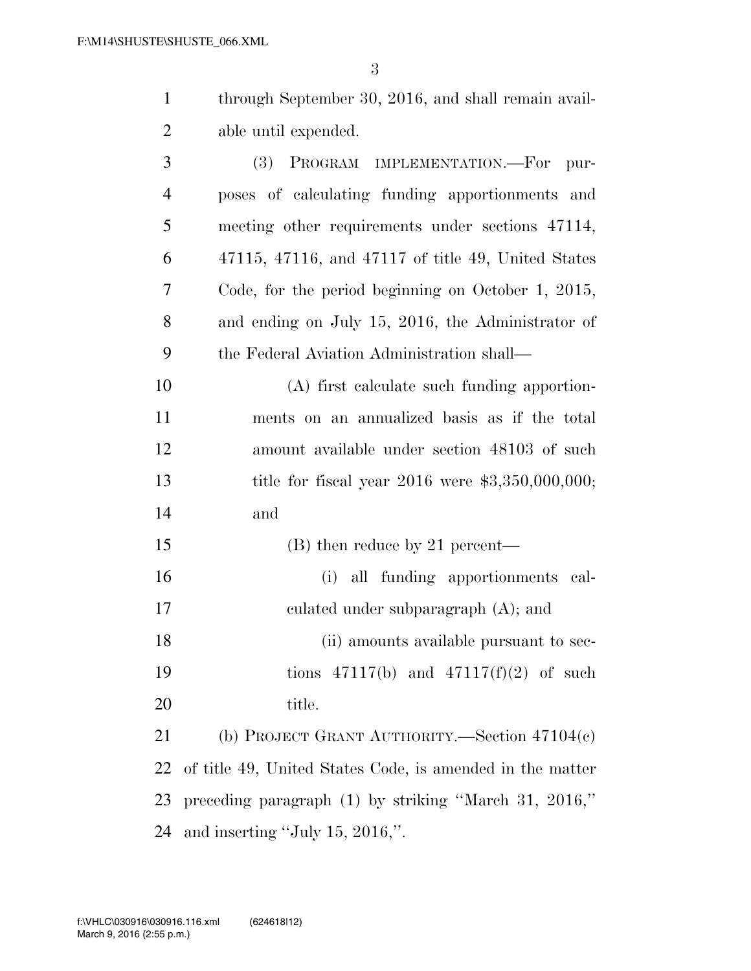|                | through September 30, 2016, and shall remain avail-    |
|----------------|--------------------------------------------------------|
| 2              | able until expended.                                   |
| 3              | PROGRAM IMPLEMENTATION.-For pur-<br>(3)                |
| $\overline{4}$ | poses of calculating funding apportionments and        |
| 5              | meeting other requirements under sections 47114,       |
| 6              | $47115, 47116,$ and $47117$ of title 49, United States |

 Code, for the period beginning on October 1, 2015, and ending on July 15, 2016, the Administrator of the Federal Aviation Administration shall—

 (A) first calculate such funding apportion- ments on an annualized basis as if the total amount available under section 48103 of such title for fiscal year 2016 were \$3,350,000,000; and

15 (B) then reduce by 21 percent— (i) all funding apportionments cal- culated under subparagraph (A); and 18 (ii) amounts available pursuant to sec- tions 47117(b) and 47117(f)(2) of such 20 title.

 (b) PROJECT GRANT AUTHORITY.—Section 47104(c) of title 49, United States Code, is amended in the matter preceding paragraph (1) by striking ''March 31, 2016,'' and inserting ''July 15, 2016,''.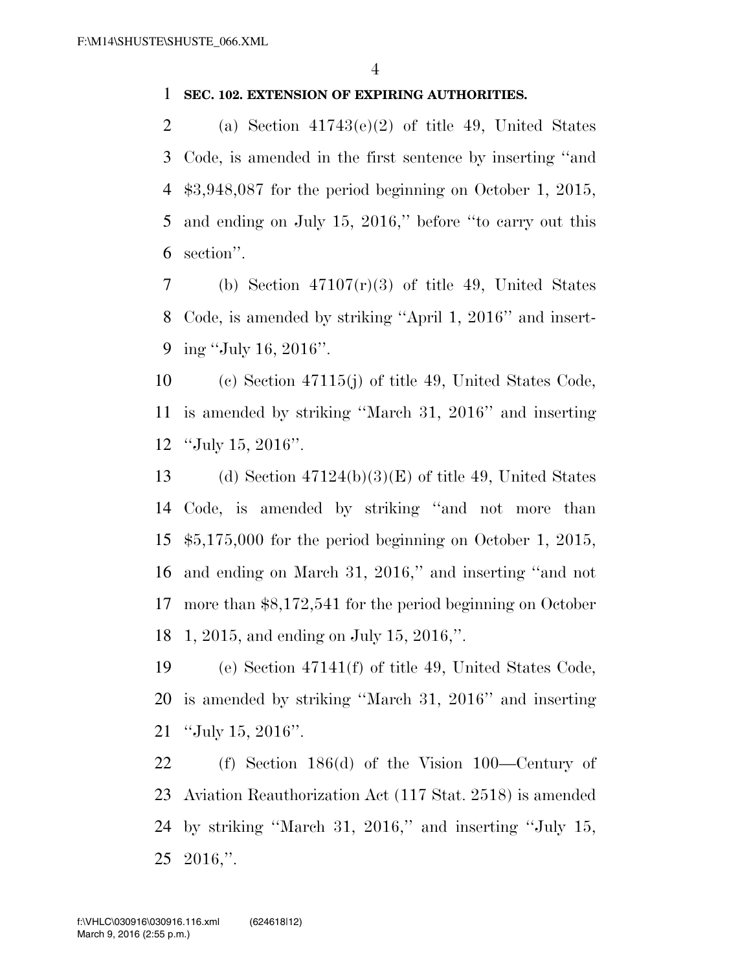# **SEC. 102. EXTENSION OF EXPIRING AUTHORITIES.**

2 (a) Section  $41743(e)(2)$  of title 49, United States Code, is amended in the first sentence by inserting ''and \$3,948,087 for the period beginning on October 1, 2015, and ending on July 15, 2016,'' before ''to carry out this section''.

7 (b) Section  $47107(r)(3)$  of title 49, United States Code, is amended by striking ''April 1, 2016'' and insert-ing ''July 16, 2016''.

 (c) Section 47115(j) of title 49, United States Code, is amended by striking ''March 31, 2016'' and inserting ''July 15, 2016''.

13 (d) Section  $47124(b)(3)(E)$  of title 49, United States Code, is amended by striking ''and not more than \$5,175,000 for the period beginning on October 1, 2015, and ending on March 31, 2016,'' and inserting ''and not more than \$8,172,541 for the period beginning on October 1, 2015, and ending on July 15, 2016,''.

 (e) Section 47141(f) of title 49, United States Code, is amended by striking ''March 31, 2016'' and inserting ''July 15, 2016''.

 (f) Section 186(d) of the Vision 100—Century of Aviation Reauthorization Act (117 Stat. 2518) is amended by striking ''March 31, 2016,'' and inserting ''July 15, 2016,''.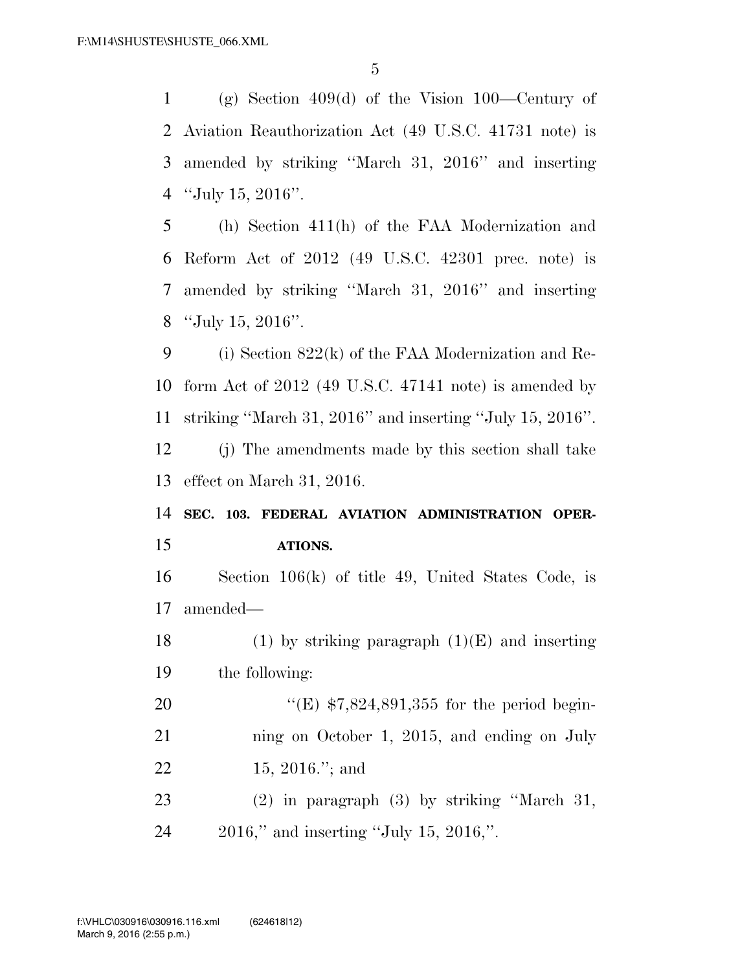(g) Section 409(d) of the Vision 100—Century of Aviation Reauthorization Act (49 U.S.C. 41731 note) is amended by striking ''March 31, 2016'' and inserting ''July 15, 2016''.

 (h) Section 411(h) of the FAA Modernization and Reform Act of 2012 (49 U.S.C. 42301 prec. note) is amended by striking ''March 31, 2016'' and inserting ''July 15, 2016''.

 (i) Section 822(k) of the FAA Modernization and Re- form Act of 2012 (49 U.S.C. 47141 note) is amended by striking ''March 31, 2016'' and inserting ''July 15, 2016''. (j) The amendments made by this section shall take effect on March 31, 2016.

 **SEC. 103. FEDERAL AVIATION ADMINISTRATION OPER-ATIONS.** 

 Section 106(k) of title 49, United States Code, is amended—

18 (1) by striking paragraph  $(1)(E)$  and inserting the following:

20 "(E) \$7,824,891,355 for the period begin-21 ning on October 1, 2015, and ending on July 15, 2016.''; and

 (2) in paragraph (3) by striking ''March 31, 2016,'' and inserting ''July 15, 2016,''.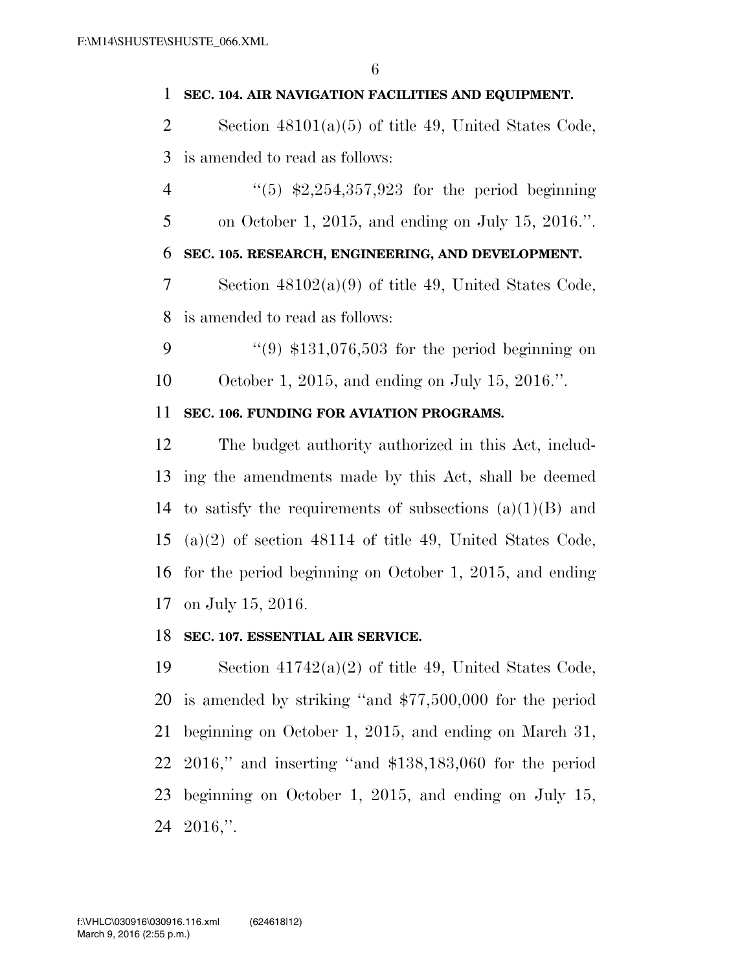# **SEC. 104. AIR NAVIGATION FACILITIES AND EQUIPMENT.**

 Section 48101(a)(5) of title 49, United States Code, is amended to read as follows:

4  $(5)$  \$2,254,357,923 for the period beginning on October 1, 2015, and ending on July 15, 2016.''.

# **SEC. 105. RESEARCH, ENGINEERING, AND DEVELOPMENT.**

 Section 48102(a)(9) of title 49, United States Code, is amended to read as follows:

9  $(9)$  \$131,076,503 for the period beginning on October 1, 2015, and ending on July 15, 2016.''.

# **SEC. 106. FUNDING FOR AVIATION PROGRAMS.**

 The budget authority authorized in this Act, includ- ing the amendments made by this Act, shall be deemed 14 to satisfy the requirements of subsections  $(a)(1)(B)$  and (a)(2) of section 48114 of title 49, United States Code, for the period beginning on October 1, 2015, and ending on July 15, 2016.

# **SEC. 107. ESSENTIAL AIR SERVICE.**

 Section 41742(a)(2) of title 49, United States Code, is amended by striking ''and \$77,500,000 for the period beginning on October 1, 2015, and ending on March 31, 2016,'' and inserting ''and \$138,183,060 for the period beginning on October 1, 2015, and ending on July 15, 2016,''.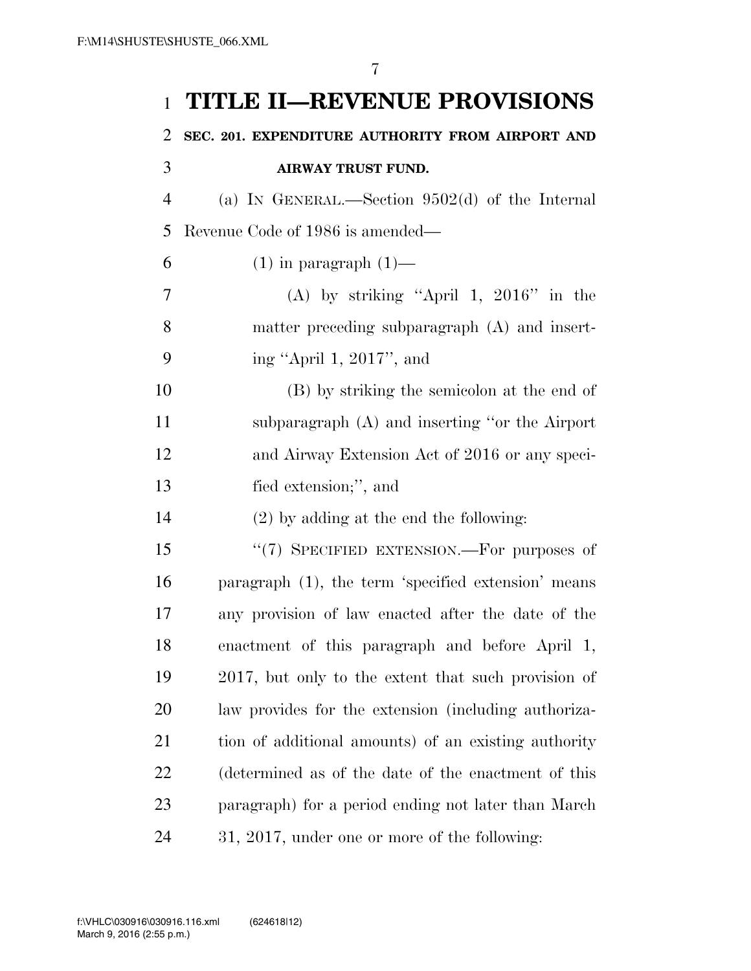# **TITLE II—REVENUE PROVISIONS**

# **SEC. 201. EXPENDITURE AUTHORITY FROM AIRPORT AND**

# (a) IN GENERAL.—Section 9502(d) of the Internal Revenue Code of 1986 is amended—

6 (1) in paragraph  $(1)$ —

**AIRWAY TRUST FUND.** 

 (A) by striking ''April 1, 2016'' in the matter preceding subparagraph (A) and insert-ing ''April 1, 2017'', and

 (B) by striking the semicolon at the end of subparagraph (A) and inserting ''or the Airport and Airway Extension Act of 2016 or any speci-fied extension;'', and

(2) by adding at the end the following:

15 "(7) SPECIFIED EXTENSION.—For purposes of paragraph (1), the term 'specified extension' means any provision of law enacted after the date of the enactment of this paragraph and before April 1, 2017, but only to the extent that such provision of law provides for the extension (including authoriza- tion of additional amounts) of an existing authority (determined as of the date of the enactment of this paragraph) for a period ending not later than March 31, 2017, under one or more of the following: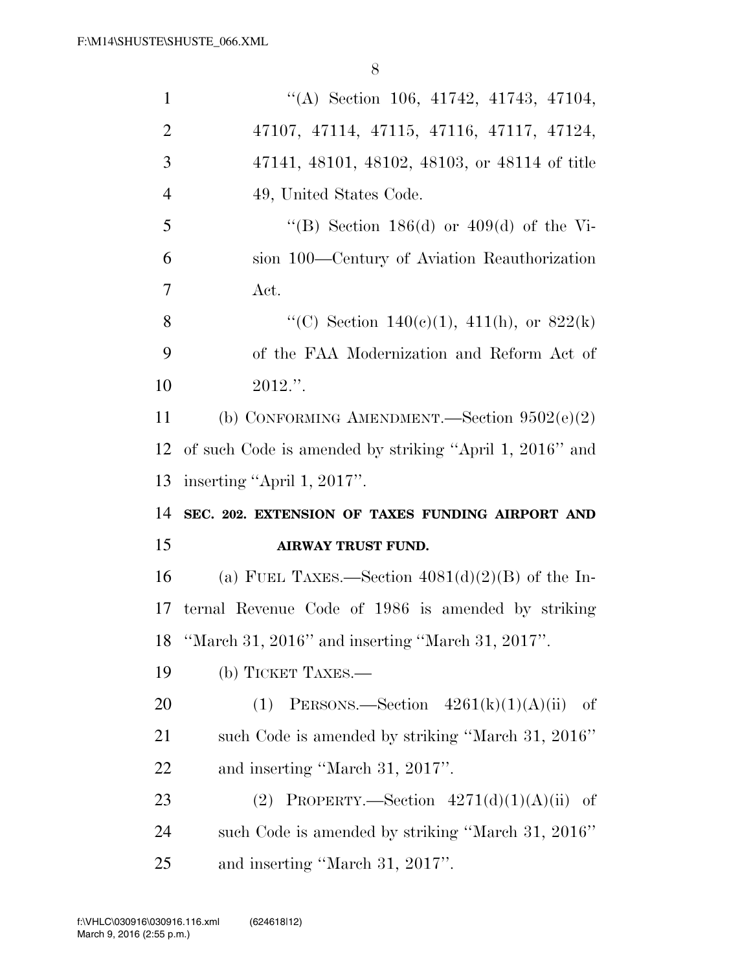| $\mathbf{1}$   | $\lq\lq$ Section 106, 41742, 41743, 47104,              |
|----------------|---------------------------------------------------------|
| $\overline{2}$ | 47107, 47114, 47115, 47116, 47117, 47124,               |
| 3              | 47141, 48101, 48102, 48103, or 48114 of title           |
| $\overline{4}$ | 49, United States Code.                                 |
| 5              | "(B) Section 186(d) or 409(d) of the Vi-                |
| 6              | sion 100—Century of Aviation Reauthorization            |
| $\overline{7}$ | Act.                                                    |
| 8              | "(C) Section 140(c)(1), 411(h), or $822(k)$             |
| 9              | of the FAA Modernization and Reform Act of              |
| 10             | $2012."$ .                                              |
| 11             | (b) CONFORMING AMENDMENT.—Section $9502(e)(2)$          |
| 12             | of such Code is amended by striking "April 1, 2016" and |
|                |                                                         |
| 13             | inserting "April 1, 2017".                              |
| 14             | SEC. 202. EXTENSION OF TAXES FUNDING AIRPORT AND        |
| 15             | <b>AIRWAY TRUST FUND.</b>                               |
| 16             | (a) FUEL TAXES.—Section $4081(d)(2)(B)$ of the In-      |
| 17             | ternal Revenue Code of 1986 is amended by striking      |
| 18             | "March 31, 2016" and inserting "March 31, 2017".        |
| 19             | (b) TICKET TAXES.—                                      |
| 20             | PERSONS.—Section $4261(k)(1)(A)(ii)$<br>(1)<br>-of      |
| 21             | such Code is amended by striking "March 31, 2016"       |
| 22             | and inserting "March 31, 2017".                         |
| 23             | PROPERTY.—Section $4271(d)(1)(A)(ii)$ of<br>(2)         |
| 24             | such Code is amended by striking "March 31, 2016"       |